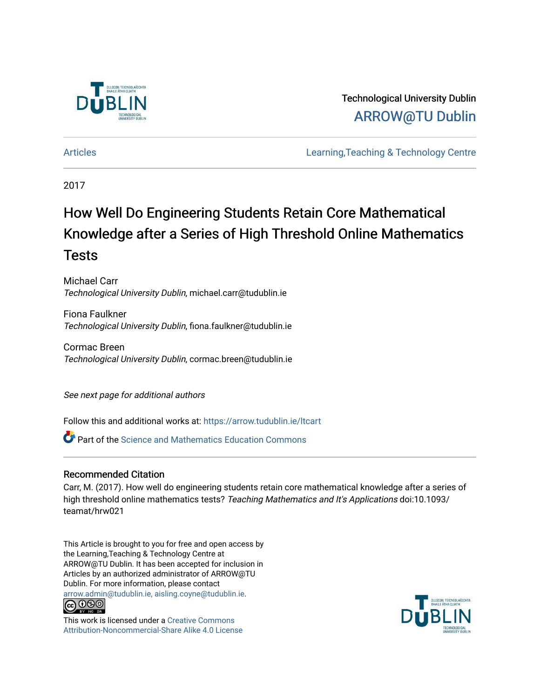

Technological University Dublin [ARROW@TU Dublin](https://arrow.tudublin.ie/) 

[Articles](https://arrow.tudublin.ie/ltcart) [Learning,Teaching & Technology Centre](https://arrow.tudublin.ie/ltc) 

2017

# How Well Do Engineering Students Retain Core Mathematical Knowledge after a Series of High Threshold Online Mathematics Tests

Michael Carr Technological University Dublin, michael.carr@tudublin.ie

Fiona Faulkner Technological University Dublin, fiona.faulkner@tudublin.ie

Cormac Breen Technological University Dublin, cormac.breen@tudublin.ie

See next page for additional authors

Follow this and additional works at: [https://arrow.tudublin.ie/ltcart](https://arrow.tudublin.ie/ltcart?utm_source=arrow.tudublin.ie%2Fltcart%2F49&utm_medium=PDF&utm_campaign=PDFCoverPages)

**C** Part of the Science and Mathematics Education Commons

#### Recommended Citation

Carr, M. (2017). How well do engineering students retain core mathematical knowledge after a series of high threshold online mathematics tests? Teaching Mathematics and It's Applications doi:10.1093/ teamat/hrw021

This Article is brought to you for free and open access by the Learning,Teaching & Technology Centre at ARROW@TU Dublin. It has been accepted for inclusion in Articles by an authorized administrator of ARROW@TU Dublin. For more information, please contact [arrow.admin@tudublin.ie, aisling.coyne@tudublin.ie](mailto:arrow.admin@tudublin.ie,%20aisling.coyne@tudublin.ie).



This work is licensed under a [Creative Commons](http://creativecommons.org/licenses/by-nc-sa/4.0/) [Attribution-Noncommercial-Share Alike 4.0 License](http://creativecommons.org/licenses/by-nc-sa/4.0/)

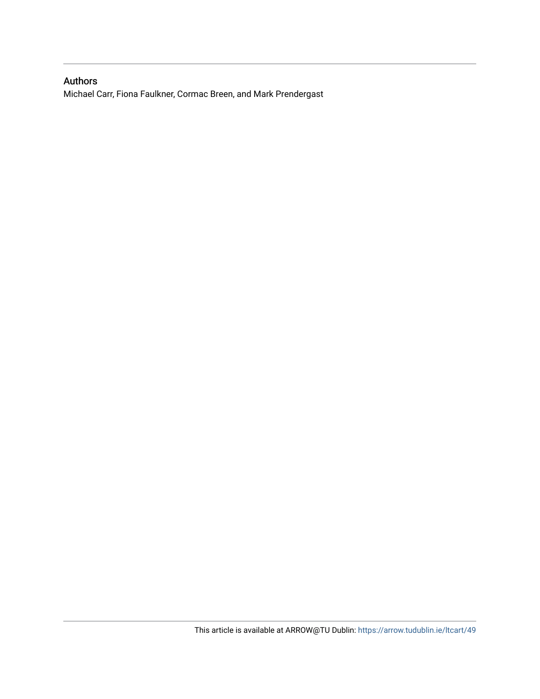## Authors

Michael Carr, Fiona Faulkner, Cormac Breen, and Mark Prendergast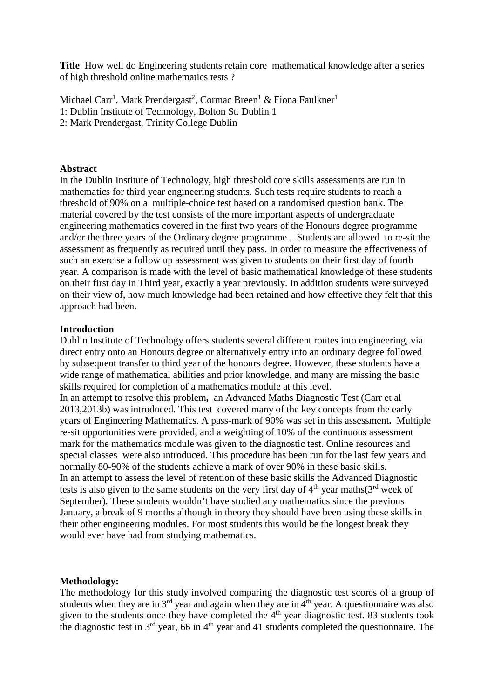**Title** How well do Engineering students retain core mathematical knowledge after a series of high threshold online mathematics tests ?

Michael Carr<sup>1</sup>, Mark Prendergast<sup>2</sup>, Cormac Breen<sup>1</sup> & Fiona Faulkner<sup>1</sup> 1: Dublin Institute of Technology, Bolton St. Dublin 1 2: Mark Prendergast, Trinity College Dublin

#### **Abstract**

In the Dublin Institute of Technology, high threshold core skills assessments are run in mathematics for third year engineering students. Such tests require students to reach a threshold of 90% on a multiple-choice test based on a randomised question bank. The material covered by the test consists of the more important aspects of undergraduate engineering mathematics covered in the first two years of the Honours degree programme and/or the three years of the Ordinary degree programme . Students are allowed to re-sit the assessment as frequently as required until they pass. In order to measure the effectiveness of such an exercise a follow up assessment was given to students on their first day of fourth year. A comparison is made with the level of basic mathematical knowledge of these students on their first day in Third year, exactly a year previously. In addition students were surveyed on their view of, how much knowledge had been retained and how effective they felt that this approach had been.

#### **Introduction**

Dublin Institute of Technology offers students several different routes into engineering, via direct entry onto an Honours degree or alternatively entry into an ordinary degree followed by subsequent transfer to third year of the honours degree. However, these students have a wide range of mathematical abilities and prior knowledge, and many are missing the basic skills required for completion of a mathematics module at this level. In an attempt to resolve this problem**,** an Advanced Maths Diagnostic Test (Carr et al 2013,2013b) was introduced. This test covered many of the key concepts from the early years of Engineering Mathematics. A pass-mark of 90% was set in this assessment**.** Multiple re-sit opportunities were provided, and a weighting of 10% of the continuous assessment mark for the mathematics module was given to the diagnostic test. Online resources and special classes were also introduced. This procedure has been run for the last few years and normally 80-90% of the students achieve a mark of over 90% in these basic skills. In an attempt to assess the level of retention of these basic skills the Advanced Diagnostic tests is also given to the same students on the very first day of  $4<sup>th</sup>$  year maths( $3<sup>rd</sup>$  week of September). These students wouldn't have studied any mathematics since the previous January, a break of 9 months although in theory they should have been using these skills in their other engineering modules. For most students this would be the longest break they would ever have had from studying mathematics.

#### **Methodology:**

The methodology for this study involved comparing the diagnostic test scores of a group of students when they are in  $3<sup>rd</sup>$  year and again when they are in  $4<sup>th</sup>$  year. A questionnaire was also given to the students once they have completed the 4<sup>th</sup> year diagnostic test. 83 students took the diagnostic test in  $3<sup>rd</sup>$  year, 66 in  $4<sup>th</sup>$  year and 41 students completed the questionnaire. The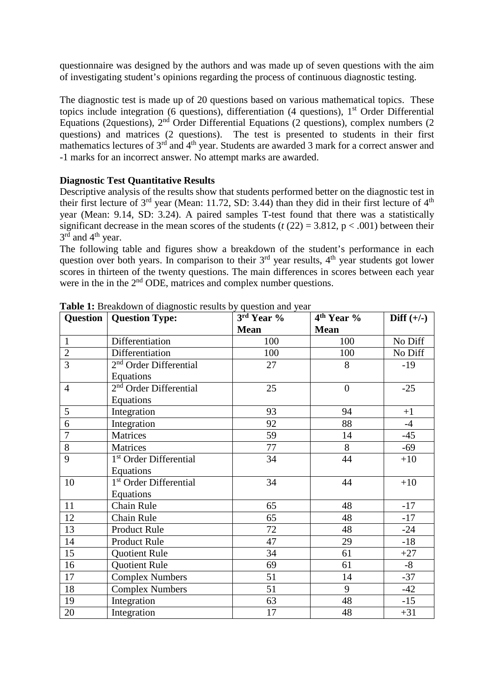questionnaire was designed by the authors and was made up of seven questions with the aim of investigating student's opinions regarding the process of continuous diagnostic testing.

The diagnostic test is made up of 20 questions based on various mathematical topics. These topics include integration (6 questions), differentiation (4 questions),  $1<sup>st</sup>$  Order Differential Equations (2questions),  $2<sup>nd</sup>$  Order Differential Equations (2 questions), complex numbers (2 questions) and matrices (2 questions). The test is presented to students in their first mathematics lectures of 3<sup>rd</sup> and 4<sup>th</sup> year. Students are awarded 3 mark for a correct answer and -1 marks for an incorrect answer. No attempt marks are awarded.

#### **Diagnostic Test Quantitative Results**

Descriptive analysis of the results show that students performed better on the diagnostic test in their first lecture of  $3<sup>rd</sup>$  year (Mean: 11.72, SD: 3.44) than they did in their first lecture of  $4<sup>th</sup>$ year (Mean: 9.14, SD: 3.24). A paired samples T-test found that there was a statistically significant decrease in the mean scores of the students ( $t$  (22) = 3.812, p < .001) between their  $3<sup>rd</sup>$  and  $4<sup>th</sup>$  year.

The following table and figures show a breakdown of the student's performance in each question over both years. In comparison to their 3<sup>rd</sup> year results, 4<sup>th</sup> year students got lower scores in thirteen of the twenty questions. The main differences in scores between each year were in the in the 2<sup>nd</sup> ODE, matrices and complex number questions.

| Question       | <b>Question Type:</b>              | 3rd Year %  | 4 <sup>th</sup> Year % | Diff $(+/-)$ |
|----------------|------------------------------------|-------------|------------------------|--------------|
|                |                                    | <b>Mean</b> | <b>Mean</b>            |              |
| $\mathbf{1}$   | Differentiation                    | 100         | 100                    | No Diff      |
| $\overline{2}$ | Differentiation                    | 100         | 100                    | No Diff      |
| 3              | 2 <sup>nd</sup> Order Differential | 27          | 8                      | $-19$        |
|                | Equations                          |             |                        |              |
| $\overline{4}$ | $2nd$ Order Differential           | 25          | $\overline{0}$         | $-25$        |
|                | Equations                          |             |                        |              |
| 5              | Integration                        | 93          | 94                     | $+1$         |
| 6              | Integration                        | 92          | 88                     | $-4$         |
| $\overline{7}$ | Matrices                           | 59          | 14                     | $-45$        |
| 8              | Matrices                           | 77          | 8                      | $-69$        |
| 9              | 1 <sup>st</sup> Order Differential | 34          | 44                     | $+10$        |
|                | Equations                          |             |                        |              |
| 10             | 1 <sup>st</sup> Order Differential | 34          | 44                     | $+10$        |
|                | Equations                          |             |                        |              |
| 11             | Chain Rule                         | 65          | 48                     | $-17$        |
| 12             | Chain Rule                         | 65          | 48                     | $-17$        |
| 13             | <b>Product Rule</b>                | 72          | 48                     | $-24$        |
| 14             | <b>Product Rule</b>                | 47          | 29                     | $-18$        |
| 15             | <b>Quotient Rule</b>               | 34          | 61                     | $+27$        |
| 16             | <b>Quotient Rule</b>               | 69          | 61                     | $-8$         |
| 17             | <b>Complex Numbers</b>             | 51          | 14                     | $-37$        |
| 18             | <b>Complex Numbers</b>             | 51          | 9                      | $-42$        |
| 19             | Integration                        | 63          | 48                     | $-15$        |
| 20             | Integration                        | 17          | 48                     | $+31$        |

**Table 1:** Breakdown of diagnostic results by question and year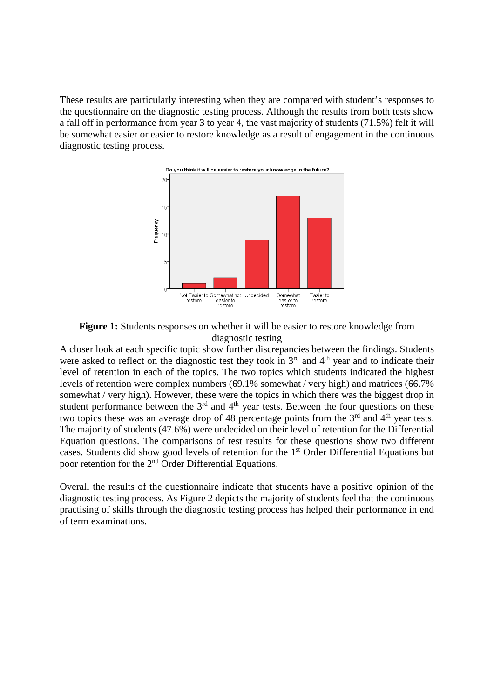These results are particularly interesting when they are compared with student's responses to the questionnaire on the diagnostic testing process. Although the results from both tests show a fall off in performance from year 3 to year 4, the vast majority of students (71.5%) felt it will be somewhat easier or easier to restore knowledge as a result of engagement in the continuous diagnostic testing process.



**Figure 1:** Students responses on whether it will be easier to restore knowledge from diagnostic testing

A closer look at each specific topic show further discrepancies between the findings. Students were asked to reflect on the diagnostic test they took in 3<sup>rd</sup> and 4<sup>th</sup> year and to indicate their level of retention in each of the topics. The two topics which students indicated the highest levels of retention were complex numbers (69.1% somewhat / very high) and matrices (66.7% somewhat / very high). However, these were the topics in which there was the biggest drop in student performance between the  $3<sup>rd</sup>$  and  $4<sup>th</sup>$  year tests. Between the four questions on these two topics these was an average drop of 48 percentage points from the  $3<sup>rd</sup>$  and  $4<sup>th</sup>$  year tests. The majority of students (47.6%) were undecided on their level of retention for the Differential Equation questions. The comparisons of test results for these questions show two different cases. Students did show good levels of retention for the 1st Order Differential Equations but poor retention for the  $2<sup>nd</sup>$  Order Differential Equations.

Overall the results of the questionnaire indicate that students have a positive opinion of the diagnostic testing process. As Figure 2 depicts the majority of students feel that the continuous practising of skills through the diagnostic testing process has helped their performance in end of term examinations.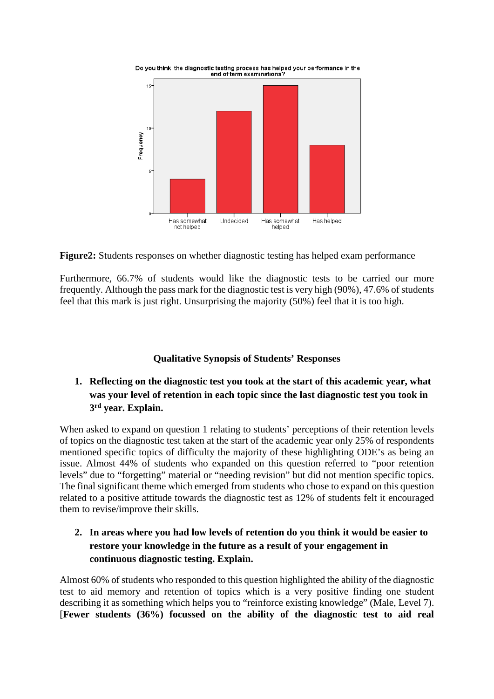



Furthermore, 66.7% of students would like the diagnostic tests to be carried our more frequently. Although the pass mark for the diagnostic test is very high (90%), 47.6% of students feel that this mark is just right. Unsurprising the majority (50%) feel that it is too high.

#### **Qualitative Synopsis of Students' Responses**

# **1. Reflecting on the diagnostic test you took at the start of this academic year, what was your level of retention in each topic since the last diagnostic test you took in 3rd year. Explain.**

When asked to expand on question 1 relating to students' perceptions of their retention levels of topics on the diagnostic test taken at the start of the academic year only 25% of respondents mentioned specific topics of difficulty the majority of these highlighting ODE's as being an issue. Almost 44% of students who expanded on this question referred to "poor retention levels" due to "forgetting" material or "needing revision" but did not mention specific topics. The final significant theme which emerged from students who chose to expand on this question related to a positive attitude towards the diagnostic test as 12% of students felt it encouraged them to revise/improve their skills.

**2. In areas where you had low levels of retention do you think it would be easier to restore your knowledge in the future as a result of your engagement in continuous diagnostic testing. Explain.**

Almost 60% of students who responded to this question highlighted the ability of the diagnostic test to aid memory and retention of topics which is a very positive finding one student describing it as something which helps you to "reinforce existing knowledge" (Male, Level 7). [**Fewer students (36%) focussed on the ability of the diagnostic test to aid real**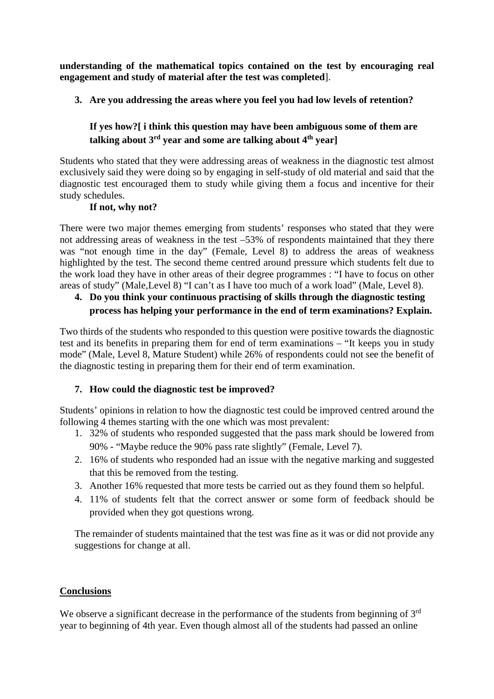**understanding of the mathematical topics contained on the test by encouraging real engagement and study of material after the test was completed**].

**3. Are you addressing the areas where you feel you had low levels of retention?**

# **If yes how?[ i think this question may have been ambiguous some of them are talking about 3rd year and some are talking about 4th year]**

Students who stated that they were addressing areas of weakness in the diagnostic test almost exclusively said they were doing so by engaging in self-study of old material and said that the diagnostic test encouraged them to study while giving them a focus and incentive for their study schedules.

## **If not, why not?**

There were two major themes emerging from students' responses who stated that they were not addressing areas of weakness in the test –53% of respondents maintained that they there was "not enough time in the day" (Female, Level 8) to address the areas of weakness highlighted by the test. The second theme centred around pressure which students felt due to the work load they have in other areas of their degree programmes : "I have to focus on other areas of study" (Male,Level 8) "I can't as I have too much of a work load" (Male, Level 8).

# **4. Do you think your continuous practising of skills through the diagnostic testing process has helping your performance in the end of term examinations? Explain.**

Two thirds of the students who responded to this question were positive towards the diagnostic test and its benefits in preparing them for end of term examinations – "It keeps you in study mode" (Male, Level 8, Mature Student) while 26% of respondents could not see the benefit of the diagnostic testing in preparing them for their end of term examination.

# **7. How could the diagnostic test be improved?**

Students' opinions in relation to how the diagnostic test could be improved centred around the following 4 themes starting with the one which was most prevalent:

- 1. 32% of students who responded suggested that the pass mark should be lowered from 90% - "Maybe reduce the 90% pass rate slightly" (Female, Level 7).
- 2. 16% of students who responded had an issue with the negative marking and suggested that this be removed from the testing.
- 3. Another 16% requested that more tests be carried out as they found them so helpful.
- 4. 11% of students felt that the correct answer or some form of feedback should be provided when they got questions wrong.

The remainder of students maintained that the test was fine as it was or did not provide any suggestions for change at all.

#### **Conclusions**

We observe a significant decrease in the performance of the students from beginning of 3<sup>rd</sup> year to beginning of 4th year. Even though almost all of the students had passed an online